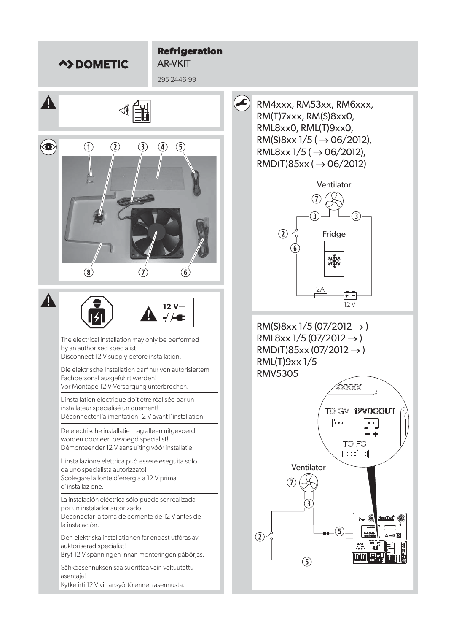

## AR-VKIT



RM4xxx, RM53xx, RM6xxx, RM(T)7xxx, RM(S)8xx0, RML8xx0, RML(T)9xx0, RM(S)8xx  $1/5$  ( $\rightarrow$  06/2012), RML8xx  $1/5$  ( $\rightarrow$  06/2012),  $RMD(T)85xx (\rightarrow 06/2012)$ 



RM(S)8xx 1/5 (07/2012  $\rightarrow$  ) RML8xx  $1/5$  (07/2012  $\rightarrow$  )  $RMD(T)85xx(07/2012 \rightarrow )$ RML(T)9xx 1/5 RMV5305